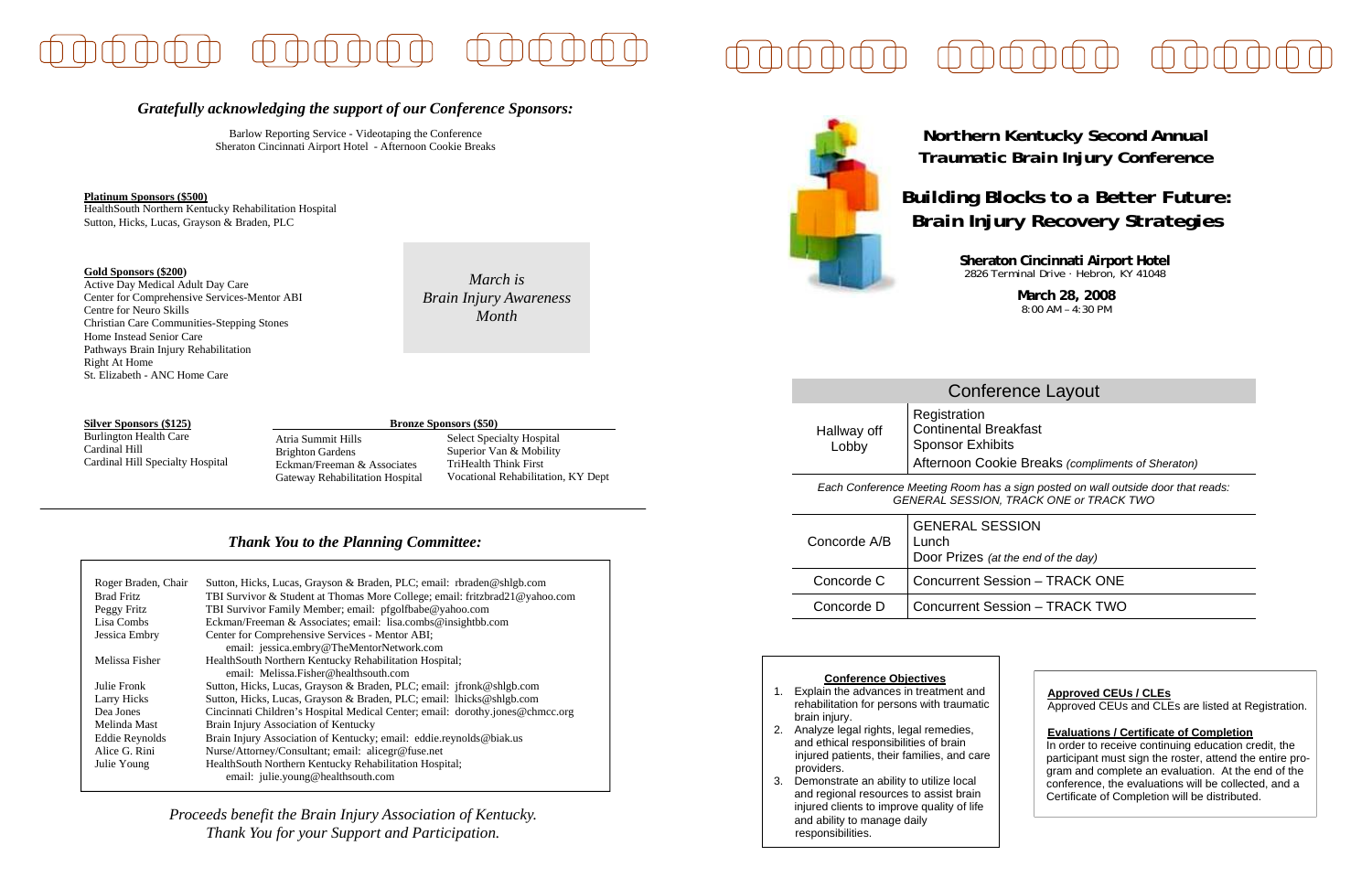# *Northern Kentucky Second Annual Traumatic Brain Injury Conference*

**Sheraton Cincinnati Airport Hotel** 2826 Terminal Drive · Hebron, KY 41048

*Building Blocks to a Better Future: Brain Injury Recovery Strategies* 

> **March 28, 2008**  8:00 AM – 4:30 PM

#### **Conference Objectives**

- 1. Explain the advances in treatment and rehabilitation for persons with traumatic brain injury.
- 2. Analyze legal rights, legal remedies, and ethical responsibilities of brain injured patients, their families, and care providers.
- 3. Demonstrate an ability to utilize local and regional resources to assist brain injured clients to improve quality of life and ability to manage daily responsibilities.

# Conference Layout

Hallway off Lobby Continental Breakfast Sponsor Exhibits Afternoon Cookie Breaks *(compliments of Sheraton)* 

*Each Conference Meeting Room has a sign posted on wall outside door that reads: GENERAL SESSION, TRACK ONE or TRACK TWO*

| Concorde A/B | <b>GENERAL SESSION</b><br>Lunch<br>Door Prizes (at the end of the day) |
|--------------|------------------------------------------------------------------------|
| Concorde C   | <b>Concurrent Session - TRACK ONE</b>                                  |
| Concorde D   | <b>Concurrent Session - TRACK TWO</b>                                  |

## *Gratefully acknowledging the support of our Conference Sponsors:*

Barlow Reporting Service - Videotaping the Conference Sheraton Cincinnati Airport Hotel - Afternoon Cookie Breaks

### **Platinum Sponsors (\$500)**

HealthSouth Northern Kentucky Rehabilitation Hospital Sutton, Hicks, Lucas, Grayson & Braden, PLC

#### **Gold Sponsors (\$200)**

Active Day Medical Adult Day Care Center for Comprehensive Services-Mentor ABI Centre for Neuro Skills Christian Care Communities-Stepping Stones Home Instead Senior Care Pathways Brain Injury Rehabilitation Right At Home St. Elizabeth - ANC Home Care

**Silver Sponsors (\$125)** Burlington Health Care Cardinal Hill Cardinal Hill Specialty Hospital

## *Thank You to the Planning Committee:*

| Roger Braden, Chair | Sutton, Hicks, Lucas, Grayson & Braden, PLC; email: rbraden@shlgb.com         |  |
|---------------------|-------------------------------------------------------------------------------|--|
| <b>Brad Fritz</b>   | TBI Survivor & Student at Thomas More College; email: fritzbrad21@yahoo.com   |  |
| Peggy Fritz         | TBI Survivor Family Member; email: pfgolfbabe@yahoo.com                       |  |
| Lisa Combs          | Eckman/Freeman & Associates; email: lisa.combs@insightbb.com                  |  |
| Jessica Embry       | Center for Comprehensive Services - Mentor ABI;                               |  |
|                     | email: jessica.embry@TheMentorNetwork.com                                     |  |
| Melissa Fisher      | HealthSouth Northern Kentucky Rehabilitation Hospital;                        |  |
|                     | email: Melissa. Fisher@healthsouth.com                                        |  |
| Julie Fronk         | Sutton, Hicks, Lucas, Grayson & Braden, PLC; email: jfronk@shlgb.com          |  |
| <b>Larry Hicks</b>  | Sutton, Hicks, Lucas, Grayson & Braden, PLC; email: lhicks@shlgb.com          |  |
| Dea Jones           | Cincinnati Children's Hospital Medical Center; email: dorothy.jones@chmcc.org |  |
| Melinda Mast        | Brain Injury Association of Kentucky                                          |  |
| Eddie Reynolds      | Brain Injury Association of Kentucky; email: eddie.reynolds@biak.us           |  |
| Alice G. Rini       | Nurse/Attorney/Consultant; email: alicegr@fuse.net                            |  |
| Julie Young         | HealthSouth Northern Kentucky Rehabilitation Hospital;                        |  |
|                     | email: julie.young@healthsouth.com                                            |  |

*Proceeds benefit the Brain Injury Association of Kentucky. Thank You for your Support and Participation.* 

*March is Brain Injury Awareness Month* 



# **Registration**

## **Approved CEUs / CLEs**

Approved CEUs and CLEs are listed at Registration.

## **Evaluations / Certificate of Completion**

In order to receive continuing education credit, the participant must sign the roster, attend the entire program and complete an evaluation. At the end of the conference, the evaluations will be collected, and a Certificate of Completion will be distributed.

Select Specialty Hospital Superior Van & Mobility TriHealth Think First Vocational Rehabilitation, KY Dept **Bronze Sponsors (\$50)** 

Atria Summit Hills Brighton Gardens Eckman/Freeman & Associates Gateway Rehabilitation Hospital